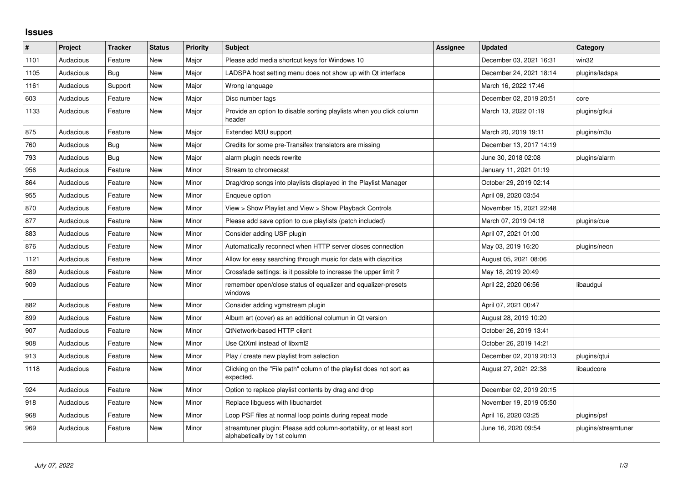## **Issues**

| $\#$ | Project   | <b>Tracker</b> | <b>Status</b> | Priority | <b>Subject</b>                                                                                      | <b>Assignee</b> | <b>Updated</b>          | Category            |
|------|-----------|----------------|---------------|----------|-----------------------------------------------------------------------------------------------------|-----------------|-------------------------|---------------------|
| 1101 | Audacious | Feature        | <b>New</b>    | Major    | Please add media shortcut keys for Windows 10                                                       |                 | December 03, 2021 16:31 | win32               |
| 1105 | Audacious | <b>Bug</b>     | New           | Major    | LADSPA host setting menu does not show up with Qt interface                                         |                 | December 24, 2021 18:14 | plugins/ladspa      |
| 1161 | Audacious | Support        | New           | Major    | Wrong language                                                                                      |                 | March 16, 2022 17:46    |                     |
| 603  | Audacious | Feature        | <b>New</b>    | Major    | Disc number tags                                                                                    |                 | December 02, 2019 20:51 | core                |
| 1133 | Audacious | Feature        | New           | Major    | Provide an option to disable sorting playlists when you click column<br>header                      |                 | March 13, 2022 01:19    | plugins/gtkui       |
| 875  | Audacious | Feature        | New           | Major    | Extended M3U support                                                                                |                 | March 20, 2019 19:11    | plugins/m3u         |
| 760  | Audacious | <b>Bug</b>     | New           | Major    | Credits for some pre-Transifex translators are missing                                              |                 | December 13, 2017 14:19 |                     |
| 793  | Audacious | Bug            | <b>New</b>    | Major    | alarm plugin needs rewrite                                                                          |                 | June 30, 2018 02:08     | plugins/alarm       |
| 956  | Audacious | Feature        | New           | Minor    | Stream to chromecast                                                                                |                 | January 11, 2021 01:19  |                     |
| 864  | Audacious | Feature        | New           | Minor    | Drag/drop songs into playlists displayed in the Playlist Manager                                    |                 | October 29, 2019 02:14  |                     |
| 955  | Audacious | Feature        | New           | Minor    | Enqueue option                                                                                      |                 | April 09, 2020 03:54    |                     |
| 870  | Audacious | Feature        | New           | Minor    | View > Show Playlist and View > Show Playback Controls                                              |                 | November 15, 2021 22:48 |                     |
| 877  | Audacious | Feature        | New           | Minor    | Please add save option to cue playlists (patch included)                                            |                 | March 07, 2019 04:18    | plugins/cue         |
| 883  | Audacious | Feature        | New           | Minor    | Consider adding USF plugin                                                                          |                 | April 07, 2021 01:00    |                     |
| 876  | Audacious | Feature        | <b>New</b>    | Minor    | Automatically reconnect when HTTP server closes connection                                          |                 | May 03, 2019 16:20      | plugins/neon        |
| 1121 | Audacious | Feature        | New           | Minor    | Allow for easy searching through music for data with diacritics                                     |                 | August 05, 2021 08:06   |                     |
| 889  | Audacious | Feature        | New           | Minor    | Crossfade settings: is it possible to increase the upper limit?                                     |                 | May 18, 2019 20:49      |                     |
| 909  | Audacious | Feature        | New           | Minor    | remember open/close status of equalizer and equalizer-presets<br>windows                            |                 | April 22, 2020 06:56    | libaudgui           |
| 882  | Audacious | Feature        | New           | Minor    | Consider adding vgmstream plugin                                                                    |                 | April 07, 2021 00:47    |                     |
| 899  | Audacious | Feature        | <b>New</b>    | Minor    | Album art (cover) as an additional columun in Qt version                                            |                 | August 28, 2019 10:20   |                     |
| 907  | Audacious | Feature        | New           | Minor    | QtNetwork-based HTTP client                                                                         |                 | October 26, 2019 13:41  |                     |
| 908  | Audacious | Feature        | New           | Minor    | Use QtXml instead of libxml2                                                                        |                 | October 26, 2019 14:21  |                     |
| 913  | Audacious | Feature        | New           | Minor    | Play / create new playlist from selection                                                           |                 | December 02, 2019 20:13 | plugins/qtui        |
| 1118 | Audacious | Feature        | New           | Minor    | Clicking on the "File path" column of the playlist does not sort as<br>expected.                    |                 | August 27, 2021 22:38   | libaudcore          |
| 924  | Audacious | Feature        | <b>New</b>    | Minor    | Option to replace playlist contents by drag and drop                                                |                 | December 02, 2019 20:15 |                     |
| 918  | Audacious | Feature        | New           | Minor    | Replace libguess with libuchardet                                                                   |                 | November 19, 2019 05:50 |                     |
| 968  | Audacious | Feature        | New           | Minor    | Loop PSF files at normal loop points during repeat mode                                             |                 | April 16, 2020 03:25    | plugins/psf         |
| 969  | Audacious | Feature        | <b>New</b>    | Minor    | streamtuner plugin: Please add column-sortability, or at least sort<br>alphabetically by 1st column |                 | June 16, 2020 09:54     | plugins/streamtuner |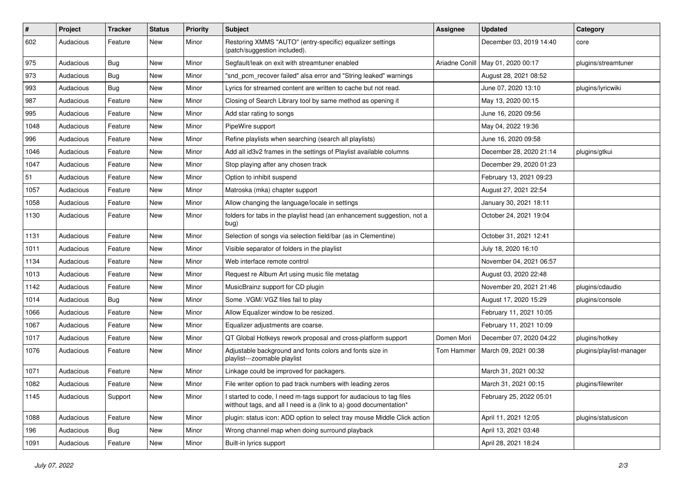| $\#$ | Project   | <b>Tracker</b> | <b>Status</b> | <b>Priority</b> | Subject                                                                                                                                   | <b>Assignee</b> | <b>Updated</b>                      | Category                 |
|------|-----------|----------------|---------------|-----------------|-------------------------------------------------------------------------------------------------------------------------------------------|-----------------|-------------------------------------|--------------------------|
| 602  | Audacious | Feature        | New           | Minor           | Restoring XMMS "AUTO" (entry-specific) equalizer settings<br>(patch/suggestion included).                                                 |                 | December 03, 2019 14:40             | core                     |
| 975  | Audacious | <b>Bug</b>     | New           | Minor           | Segfault/leak on exit with streamtuner enabled                                                                                            |                 | Ariadne Conill   May 01, 2020 00:17 | plugins/streamtuner      |
| 973  | Audacious | <b>Bug</b>     | New           | Minor           | "snd_pcm_recover failed" alsa error and "String leaked" warnings                                                                          |                 | August 28, 2021 08:52               |                          |
| 993  | Audacious | Bug            | New           | Minor           | Lyrics for streamed content are written to cache but not read.                                                                            |                 | June 07, 2020 13:10                 | plugins/lyricwiki        |
| 987  | Audacious | Feature        | New           | Minor           | Closing of Search Library tool by same method as opening it                                                                               |                 | May 13, 2020 00:15                  |                          |
| 995  | Audacious | Feature        | New           | Minor           | Add star rating to songs                                                                                                                  |                 | June 16, 2020 09:56                 |                          |
| 1048 | Audacious | Feature        | New           | Minor           | PipeWire support                                                                                                                          |                 | May 04, 2022 19:36                  |                          |
| 996  | Audacious | Feature        | New           | Minor           | Refine playlists when searching (search all playlists)                                                                                    |                 | June 16, 2020 09:58                 |                          |
| 1046 | Audacious | Feature        | New           | Minor           | Add all id3v2 frames in the settings of Playlist available columns                                                                        |                 | December 28, 2020 21:14             | plugins/gtkui            |
| 1047 | Audacious | Feature        | New           | Minor           | Stop playing after any chosen track                                                                                                       |                 | December 29, 2020 01:23             |                          |
| 51   | Audacious | Feature        | New           | Minor           | Option to inhibit suspend                                                                                                                 |                 | February 13, 2021 09:23             |                          |
| 1057 | Audacious | Feature        | New           | Minor           | Matroska (mka) chapter support                                                                                                            |                 | August 27, 2021 22:54               |                          |
| 1058 | Audacious | Feature        | New           | Minor           | Allow changing the language/locale in settings                                                                                            |                 | January 30, 2021 18:11              |                          |
| 1130 | Audacious | Feature        | New           | Minor           | folders for tabs in the playlist head (an enhancement suggestion, not a<br>bug)                                                           |                 | October 24, 2021 19:04              |                          |
| 1131 | Audacious | Feature        | New           | Minor           | Selection of songs via selection field/bar (as in Clementine)                                                                             |                 | October 31, 2021 12:41              |                          |
| 1011 | Audacious | Feature        | New           | Minor           | Visible separator of folders in the playlist                                                                                              |                 | July 18, 2020 16:10                 |                          |
| 1134 | Audacious | Feature        | New           | Minor           | Web interface remote control                                                                                                              |                 | November 04, 2021 06:57             |                          |
| 1013 | Audacious | Feature        | New           | Minor           | Request re Album Art using music file metatag                                                                                             |                 | August 03, 2020 22:48               |                          |
| 1142 | Audacious | Feature        | New           | Minor           | MusicBrainz support for CD plugin                                                                                                         |                 | November 20, 2021 21:46             | plugins/cdaudio          |
| 1014 | Audacious | <b>Bug</b>     | New           | Minor           | Some .VGM/.VGZ files fail to play                                                                                                         |                 | August 17, 2020 15:29               | plugins/console          |
| 1066 | Audacious | Feature        | New           | Minor           | Allow Equalizer window to be resized.                                                                                                     |                 | February 11, 2021 10:05             |                          |
| 1067 | Audacious | Feature        | New           | Minor           | Equalizer adjustments are coarse.                                                                                                         |                 | February 11, 2021 10:09             |                          |
| 1017 | Audacious | Feature        | New           | Minor           | QT Global Hotkeys rework proposal and cross-platform support                                                                              | Domen Mori      | December 07, 2020 04:22             | plugins/hotkey           |
| 1076 | Audacious | Feature        | New           | Minor           | Adjustable background and fonts colors and fonts size in<br>playlist---zoomable playlist                                                  | Tom Hammer      | March 09, 2021 00:38                | plugins/playlist-manager |
| 1071 | Audacious | Feature        | New           | Minor           | Linkage could be improved for packagers.                                                                                                  |                 | March 31, 2021 00:32                |                          |
| 1082 | Audacious | Feature        | New           | Minor           | File writer option to pad track numbers with leading zeros                                                                                |                 | March 31, 2021 00:15                | plugins/filewriter       |
| 1145 | Audacious | Support        | New           | Minor           | I started to code, I need m-tags support for audacious to tag files<br>witthout tags, and all I need is a (link to a) good documentation* |                 | February 25, 2022 05:01             |                          |
| 1088 | Audacious | Feature        | New           | Minor           | plugin: status icon: ADD option to select tray mouse Middle Click action                                                                  |                 | April 11, 2021 12:05                | plugins/statusicon       |
| 196  | Audacious | Bug            | New           | Minor           | Wrong channel map when doing surround playback                                                                                            |                 | April 13, 2021 03:48                |                          |
| 1091 | Audacious | Feature        | New           | Minor           | Built-in lyrics support                                                                                                                   |                 | April 28, 2021 18:24                |                          |